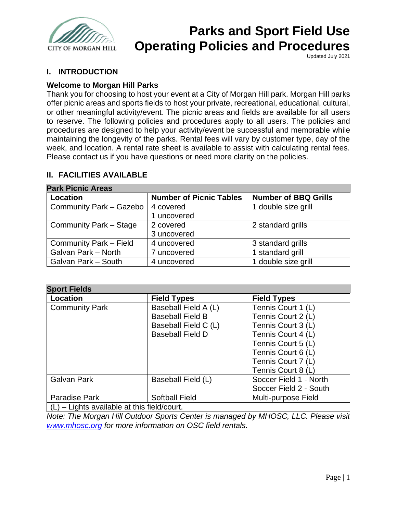

Updated July 2021

## **I. INTRODUCTION**

## **Welcome to Morgan Hill Parks**

Thank you for choosing to host your event at a City of Morgan Hill park. Morgan Hill parks offer picnic areas and sports fields to host your private, recreational, educational, cultural, or other meaningful activity/event. The picnic areas and fields are available for all users to reserve. The following policies and procedures apply to all users. The policies and procedures are designed to help your activity/event be successful and memorable while maintaining the longevity of the parks. Rental fees will vary by customer type, day of the week, and location. A rental rate sheet is available to assist with calculating rental fees. Please contact us if you have questions or need more clarity on the policies.

## **II. FACILITIES AVAILABLE**

| <b>Park Picnic Areas</b> |                                |                             |
|--------------------------|--------------------------------|-----------------------------|
| Location                 | <b>Number of Picnic Tables</b> | <b>Number of BBQ Grills</b> |
| Community Park - Gazebo  | 4 covered                      | 1 double size grill         |
|                          | 1 uncovered                    |                             |
| Community Park - Stage   | 2 covered                      | 2 standard grills           |
|                          | 3 uncovered                    |                             |
| Community Park - Field   | 4 uncovered                    | 3 standard grills           |
| Galvan Park - North      | 7 uncovered                    | 1 standard grill            |
| Galvan Park - South      | 4 uncovered                    | 1 double size grill         |

## **Park Picnic Areas**

### **Sport Fields**

| <b>ODULL I IGIUS</b>                       |                         |                        |
|--------------------------------------------|-------------------------|------------------------|
| Location                                   | <b>Field Types</b>      | <b>Field Types</b>     |
| <b>Community Park</b>                      | Baseball Field A (L)    | Tennis Court 1 (L)     |
|                                            | <b>Baseball Field B</b> | Tennis Court 2 (L)     |
|                                            | Baseball Field C (L)    | Tennis Court 3 (L)     |
|                                            | <b>Baseball Field D</b> | Tennis Court 4 (L)     |
|                                            |                         | Tennis Court 5 (L)     |
|                                            |                         | Tennis Court 6 (L)     |
|                                            |                         | Tennis Court 7 (L)     |
|                                            |                         | Tennis Court 8 (L)     |
| Galvan Park                                | Baseball Field (L)      | Soccer Field 1 - North |
|                                            |                         | Soccer Field 2 - South |
| Paradise Park                              | <b>Softball Field</b>   | Multi-purpose Field    |
| $(1)$ Lighte available at this field/court |                         |                        |

 $(L)$  – Lights available at this field/court.

*Note: The Morgan Hill Outdoor Sports Center is managed by MHOSC, LLC. Please visit [www.mhosc.org](http://www.mhosc.org/) for more information on OSC field rentals.*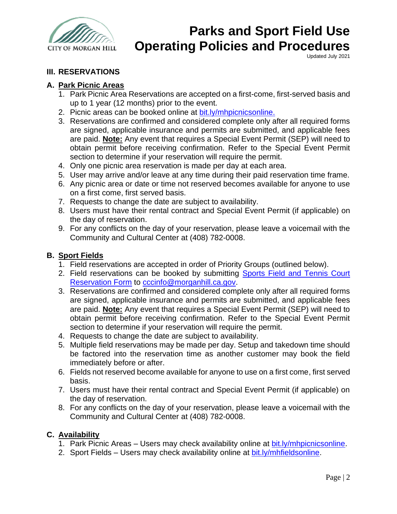

Updated July 2021

## **III. RESERVATIONS**

## **A. Park Picnic Areas**

- 1. Park Picnic Area Reservations are accepted on a first-come, first-served basis and up to 1 year (12 months) prior to the event.
- 2. Picnic areas can be booked online at [bit.ly/mhpicnicsonline.](https://bit.ly/mhpicnicsonline)
- 3. Reservations are confirmed and considered complete only after all required forms are signed, applicable insurance and permits are submitted, and applicable fees are paid. **Note:** Any event that requires a Special Event Permit (SEP) will need to obtain permit before receiving confirmation. Refer to the Special Event Permit section to determine if your reservation will require the permit.
- 4. Only one picnic area reservation is made per day at each area.
- 5. User may arrive and/or leave at any time during their paid reservation time frame.
- 6. Any picnic area or date or time not reserved becomes available for anyone to use on a first come, first served basis.
- 7. Requests to change the date are subject to availability.
- 8. Users must have their rental contract and Special Event Permit (if applicable) on the day of reservation.
- 9. For any conflicts on the day of your reservation, please leave a voicemail with the Community and Cultural Center at (408) 782-0008.

## **B. Sport Fields**

- 1. Field reservations are accepted in order of Priority Groups (outlined below).
- 2. Field reservations can be booked by submitting Sports Field and Tennis Court [Reservation Form](https://www.morgan-hill.ca.gov/DocumentCenter/View/12910/Sports-Field-and-Tennis-Court-Reservation-Form-May-2020-PDF?bidId=) to [cccinfo@morganhill.ca.gov.](mailto:cccinfo@morganhill.ca.gov)
- 3. Reservations are confirmed and considered complete only after all required forms are signed, applicable insurance and permits are submitted, and applicable fees are paid. **Note:** Any event that requires a Special Event Permit (SEP) will need to obtain permit before receiving confirmation. Refer to the Special Event Permit section to determine if your reservation will require the permit.
- 4. Requests to change the date are subject to availability.
- 5. Multiple field reservations may be made per day. Setup and takedown time should be factored into the reservation time as another customer may book the field immediately before or after.
- 6. Fields not reserved become available for anyone to use on a first come, first served basis.
- 7. Users must have their rental contract and Special Event Permit (if applicable) on the day of reservation.
- 8. For any conflicts on the day of your reservation, please leave a voicemail with the Community and Cultural Center at (408) 782-0008.

## **C. Availability**

- 1. Park Picnic Areas Users may check availability online at [bit.ly/mhpicnicsonline.](https://bit.ly/mhpicnicsonline)
- 2. Sport Fields Users may check availability online at [bit.ly/mhfieldsonline.](http://bit.ly/mhfieldsonline)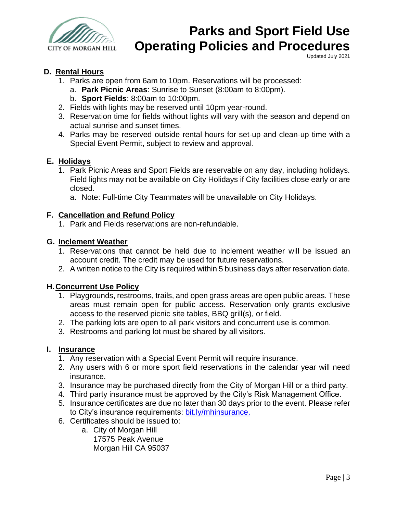

Updated July 2021

## **D. Rental Hours**

- 1. Parks are open from 6am to 10pm. Reservations will be processed:
	- a. **Park Picnic Areas**: Sunrise to Sunset (8:00am to 8:00pm).
	- b. **Sport Fields**: 8:00am to 10:00pm.
- 2. Fields with lights may be reserved until 10pm year-round.
- 3. Reservation time for fields without lights will vary with the season and depend on actual sunrise and sunset times.
- 4. Parks may be reserved outside rental hours for set-up and clean-up time with a Special Event Permit, subject to review and approval.

#### **E. Holidays**

- 1. Park Picnic Areas and Sport Fields are reservable on any day, including holidays. Field lights may not be available on City Holidays if City facilities close early or are closed.
	- a. Note: Full-time City Teammates will be unavailable on City Holidays.

#### **F. Cancellation and Refund Policy**

1. Park and Fields reservations are non-refundable.

#### **G. Inclement Weather**

- 1. Reservations that cannot be held due to inclement weather will be issued an account credit. The credit may be used for future reservations.
- 2. A written notice to the City is required within 5 business days after reservation date.

### **H.Concurrent Use Policy**

- 1. Playgrounds, restrooms, trails, and open grass areas are open public areas. These areas must remain open for public access. Reservation only grants exclusive access to the reserved picnic site tables, BBQ grill(s), or field.
- 2. The parking lots are open to all park visitors and concurrent use is common.
- 3. Restrooms and parking lot must be shared by all visitors.

#### **I. Insurance**

- 1. Any reservation with a Special Event Permit will require insurance.
- 2. Any users with 6 or more sport field reservations in the calendar year will need insurance.
- 3. Insurance may be purchased directly from the City of Morgan Hill or a third party.
- 4. Third party insurance must be approved by the City's Risk Management Office.
- 5. Insurance certificates are due no later than 30 days prior to the event. Please refer to City's insurance requirements: [bit.ly/mhinsurance.](https://bit.ly/mhinsurance)
- 6. Certificates should be issued to:
	- a. City of Morgan Hill 17575 Peak Avenue Morgan Hill CA 95037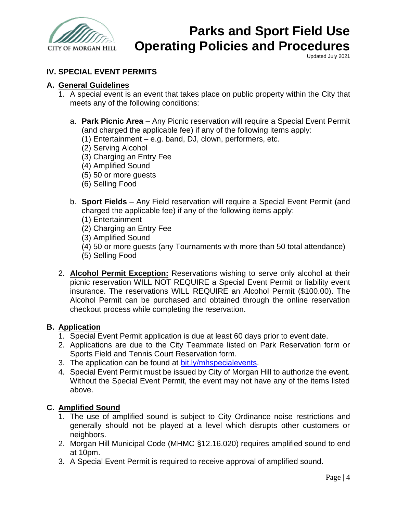

Updated July 2021

## **IV. SPECIAL EVENT PERMITS**

### **A. General Guidelines**

- 1. A special event is an event that takes place on public property within the City that meets any of the following conditions:
	- a. **Park Picnic Area**  Any Picnic reservation will require a Special Event Permit (and charged the applicable fee) if any of the following items apply:
		- (1) Entertainment e.g. band, DJ, clown, performers, etc.
		- (2) Serving Alcohol
		- (3) Charging an Entry Fee
		- (4) Amplified Sound
		- (5) 50 or more guests
		- (6) Selling Food
	- b. **Sport Fields** Any Field reservation will require a Special Event Permit (and charged the applicable fee) if any of the following items apply:
		- (1) Entertainment
		- (2) Charging an Entry Fee
		- (3) Amplified Sound
		- (4) 50 or more guests (any Tournaments with more than 50 total attendance)
		- (5) Selling Food
- 2. **Alcohol Permit Exception:** Reservations wishing to serve only alcohol at their picnic reservation WILL NOT REQUIRE a Special Event Permit or liability event insurance. The reservations WILL REQUIRE an Alcohol Permit (\$100.00). The Alcohol Permit can be purchased and obtained through the online reservation checkout process while completing the reservation.

### **B. Application**

- 1. Special Event Permit application is due at least 60 days prior to event date.
- 2. Applications are due to the City Teammate listed on Park Reservation form or Sports Field and Tennis Court Reservation form.
- 3. The application can be found at [bit.ly/mhspecialevents.](https://bit.ly/mhspecialevents)
- 4. Special Event Permit must be issued by City of Morgan Hill to authorize the event. Without the Special Event Permit, the event may not have any of the items listed above.

### **C. Amplified Sound**

- 1. The use of amplified sound is subject to City Ordinance noise restrictions and generally should not be played at a level which disrupts other customers or neighbors.
- 2. Morgan Hill Municipal Code (MHMC §12.16.020) requires amplified sound to end at 10pm.
- 3. A Special Event Permit is required to receive approval of amplified sound.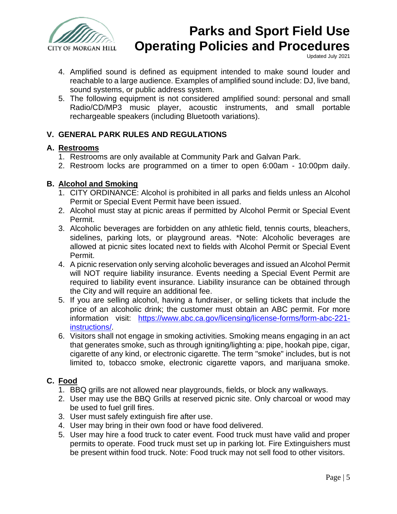

Updated July 2021

- 4. Amplified sound is defined as equipment intended to make sound louder and reachable to a large audience. Examples of amplified sound include: DJ, live band, sound systems, or public address system.
- 5. The following equipment is not considered amplified sound: personal and small Radio/CD/MP3 music player, acoustic instruments, and small portable rechargeable speakers (including Bluetooth variations).

## **V. GENERAL PARK RULES AND REGULATIONS**

## **A. Restrooms**

- 1. Restrooms are only available at Community Park and Galvan Park.
- 2. Restroom locks are programmed on a timer to open 6:00am 10:00pm daily.

## **B. Alcohol and Smoking**

- 1. CITY ORDINANCE: Alcohol is prohibited in all parks and fields unless an Alcohol Permit or Special Event Permit have been issued.
- 2. Alcohol must stay at picnic areas if permitted by Alcohol Permit or Special Event Permit.
- 3. Alcoholic beverages are forbidden on any athletic field, tennis courts, bleachers, sidelines, parking lots, or playground areas. \*Note: Alcoholic beverages are allowed at picnic sites located next to fields with Alcohol Permit or Special Event Permit.
- 4. A picnic reservation only serving alcoholic beverages and issued an Alcohol Permit will NOT require liability insurance. Events needing a Special Event Permit are required to liability event insurance. Liability insurance can be obtained through the City and will require an additional fee.
- 5. If you are selling alcohol, having a fundraiser, or selling tickets that include the price of an alcoholic drink; the customer must obtain an ABC permit. For more information visit: [https://www.abc.ca.gov/licensing/license-forms/form-abc-221](https://www.abc.ca.gov/licensing/license-forms/form-abc-221-instructions/) [instructions/.](https://www.abc.ca.gov/licensing/license-forms/form-abc-221-instructions/)
- 6. Visitors shall not engage in smoking activities. Smoking means engaging in an act that generates smoke, such as through igniting/lighting a: pipe, hookah pipe, cigar, cigarette of any kind, or electronic cigarette. The term "smoke" includes, but is not limited to, tobacco smoke, electronic cigarette vapors, and marijuana smoke.

## **C. Food**

- 1. BBQ grills are not allowed near playgrounds, fields, or block any walkways.
- 2. User may use the BBQ Grills at reserved picnic site. Only charcoal or wood may be used to fuel grill fires.
- 3. User must safely extinguish fire after use.
- 4. User may bring in their own food or have food delivered.
- 5. User may hire a food truck to cater event. Food truck must have valid and proper permits to operate. Food truck must set up in parking lot. Fire Extinguishers must be present within food truck. Note: Food truck may not sell food to other visitors.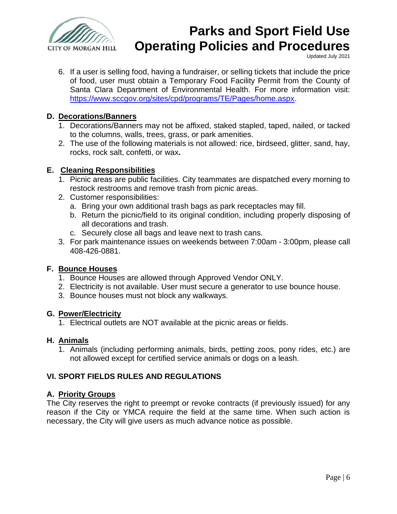

Updated July 2021

6. If a user is selling food, having a fundraiser, or selling tickets that include the price of food, user must obtain a Temporary Food Facility Permit from the County of Santa Clara Department of Environmental Health. For more information visit: [https://www.sccgov.org/sites/cpd/programs/TE/Pages/home.aspx.](https://www.sccgov.org/sites/cpd/programs/TE/Pages/home.aspx)

## **D. Decorations/Banners**

- 1. Decorations/Banners may not be affixed, staked stapled, taped, nailed, or tacked to the columns, walls, trees, grass, or park amenities.
- 2. The use of the following materials is not allowed: rice, birdseed, glitter, sand, hay, rocks, rock salt, confetti, or wax**.**

## **E. Cleaning Responsibilities**

- 1. Picnic areas are public facilities. City teammates are dispatched every morning to restock restrooms and remove trash from picnic areas.
- 2. Customer responsibilities:
	- a. Bring your own additional trash bags as park receptacles may fill.
	- b. Return the picnic/field to its original condition, including properly disposing of all decorations and trash.
	- c. Securely close all bags and leave next to trash cans.
- 3. For park maintenance issues on weekends between 7:00am 3:00pm, please call 408-426-0881.

### **F. Bounce Houses**

- 1. Bounce Houses are allowed through Approved Vendor ONLY.
- 2. Electricity is not available. User must secure a generator to use bounce house.
- 3. Bounce houses must not block any walkways.

### **G. Power/Electricity**

1. Electrical outlets are NOT available at the picnic areas or fields.

## **H. Animals**

1. Animals (including performing animals, birds, petting zoos, pony rides, etc.) are not allowed except for certified service animals or dogs on a leash.

## **VI. SPORT FIELDS RULES AND REGULATIONS**

## **A. Priority Groups**

The City reserves the right to preempt or revoke contracts (if previously issued) for any reason if the City or YMCA require the field at the same time. When such action is necessary, the City will give users as much advance notice as possible.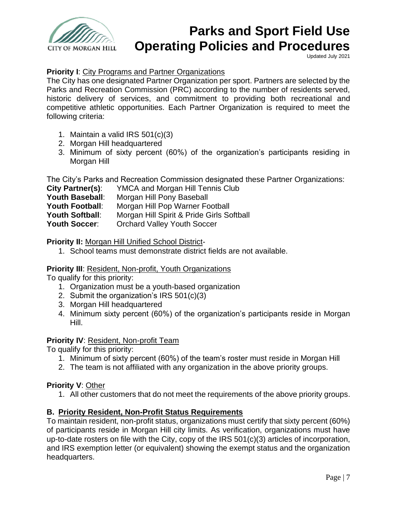

Updated July 2021

## **Priority I**: City Programs and Partner Organizations

The City has one designated Partner Organization per sport. Partners are selected by the Parks and Recreation Commission (PRC) according to the number of residents served, historic delivery of services, and commitment to providing both recreational and competitive athletic opportunities. Each Partner Organization is required to meet the following criteria:

- 1. Maintain a valid IRS 501(c)(3)
- 2. Morgan Hill headquartered
- 3. Minimum of sixty percent (60%) of the organization's participants residing in Morgan Hill

The City's Parks and Recreation Commission designated these Partner Organizations:

| City Partner(s):       | <b>YMCA and Morgan Hill Tennis Club</b>   |
|------------------------|-------------------------------------------|
| <b>Youth Baseball:</b> | Morgan Hill Pony Baseball                 |
| <b>Youth Football:</b> | Morgan Hill Pop Warner Football           |
| <b>Youth Softball:</b> | Morgan Hill Spirit & Pride Girls Softball |
| Youth Soccer:          | <b>Orchard Valley Youth Soccer</b>        |

### **Priority II:** Morgan Hill Unified School District-

1. School teams must demonstrate district fields are not available.

### **Priority III**: Resident, Non-profit, Youth Organizations

To qualify for this priority:

- 1. Organization must be a youth-based organization
- 2. Submit the organization's IRS 501(c)(3)
- 3. Morgan Hill headquartered
- 4. Minimum sixty percent (60%) of the organization's participants reside in Morgan Hill.

### **Priority IV**: Resident, Non-profit Team

To qualify for this priority:

- 1. Minimum of sixty percent (60%) of the team's roster must reside in Morgan Hill
- 2. The team is not affiliated with any organization in the above priority groups.

### **Priority V**: Other

1. All other customers that do not meet the requirements of the above priority groups.

## **B. Priority Resident, Non-Profit Status Requirements**

To maintain resident, non-profit status, organizations must certify that sixty percent (60%) of participants reside in Morgan Hill city limits. As verification, organizations must have up-to-date rosters on file with the City, copy of the IRS 501(c)(3) articles of incorporation, and IRS exemption letter (or equivalent) showing the exempt status and the organization headquarters.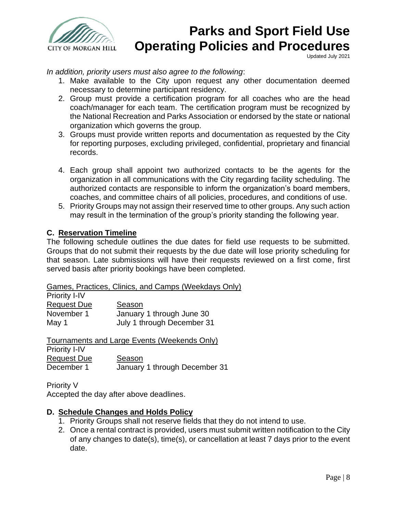

Updated July 2021

*In addition, priority users must also agree to the following*:

- 1. Make available to the City upon request any other documentation deemed necessary to determine participant residency.
- 2. Group must provide a certification program for all coaches who are the head coach/manager for each team. The certification program must be recognized by the National Recreation and Parks Association or endorsed by the state or national organization which governs the group.
- 3. Groups must provide written reports and documentation as requested by the City for reporting purposes, excluding privileged, confidential, proprietary and financial records.
- 4. Each group shall appoint two authorized contacts to be the agents for the organization in all communications with the City regarding facility scheduling. The authorized contacts are responsible to inform the organization's board members, coaches, and committee chairs of all policies, procedures, and conditions of use.
- 5. Priority Groups may not assign their reserved time to other groups. Any such action may result in the termination of the group's priority standing the following year.

## **C. Reservation Timeline**

The following schedule outlines the due dates for field use requests to be submitted. Groups that do not submit their requests by the due date will lose priority scheduling for that season. Late submissions will have their requests reviewed on a first come, first served basis after priority bookings have been completed.

Games, Practices, Clinics, and Camps (Weekdays Only)

| <b>Priority I-IV</b> |                            |
|----------------------|----------------------------|
| <b>Request Due</b>   | Season                     |
| November 1           | January 1 through June 30  |
| May 1                | July 1 through December 31 |

|                      | Tournaments and Large Events (Weekends Only) |
|----------------------|----------------------------------------------|
| <b>Priority I-IV</b> |                                              |
| <b>Request Due</b>   | Season                                       |
| December 1           | January 1 through December 31                |

Priority V

Accepted the day after above deadlines.

### **D. Schedule Changes and Holds Policy**

- 1. Priority Groups shall not reserve fields that they do not intend to use.
- 2. Once a rental contract is provided, users must submit written notification to the City of any changes to date(s), time(s), or cancellation at least 7 days prior to the event date.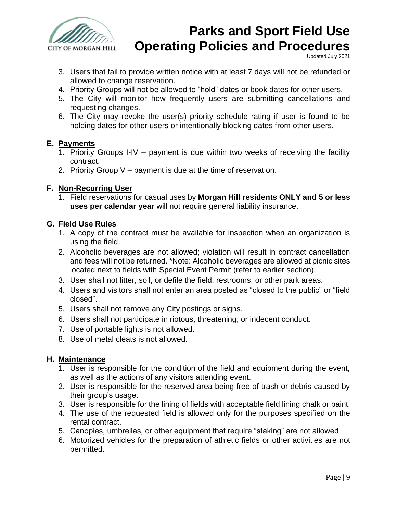

Updated July 2021

- 3. Users that fail to provide written notice with at least 7 days will not be refunded or allowed to change reservation.
- 4. Priority Groups will not be allowed to "hold" dates or book dates for other users.
- 5. The City will monitor how frequently users are submitting cancellations and requesting changes.
- 6. The City may revoke the user(s) priority schedule rating if user is found to be holding dates for other users or intentionally blocking dates from other users.

### **E. Payments**

- 1. Priority Groups I-IV payment is due within two weeks of receiving the facility contract.
- 2. Priority Group V payment is due at the time of reservation.

## **F. Non-Recurring User**

1. Field reservations for casual uses by **Morgan Hill residents ONLY and 5 or less uses per calendar year** will not require general liability insurance.

## **G. Field Use Rules**

- 1. A copy of the contract must be available for inspection when an organization is using the field.
- 2. Alcoholic beverages are not allowed; violation will result in contract cancellation and fees will not be returned. \*Note: Alcoholic beverages are allowed at picnic sites located next to fields with Special Event Permit (refer to earlier section).
- 3. User shall not litter, soil, or defile the field, restrooms, or other park areas.
- 4. Users and visitors shall not enter an area posted as "closed to the public" or "field closed".
- 5. Users shall not remove any City postings or signs.
- 6. Users shall not participate in riotous, threatening, or indecent conduct.
- 7. Use of portable lights is not allowed.
- 8. Use of metal cleats is not allowed.

### **H. Maintenance**

- 1. User is responsible for the condition of the field and equipment during the event, as well as the actions of any visitors attending event.
- 2. User is responsible for the reserved area being free of trash or debris caused by their group's usage.
- 3. User is responsible for the lining of fields with acceptable field lining chalk or paint.
- 4. The use of the requested field is allowed only for the purposes specified on the rental contract.
- 5. Canopies, umbrellas, or other equipment that require "staking" are not allowed.
- 6. Motorized vehicles for the preparation of athletic fields or other activities are not permitted.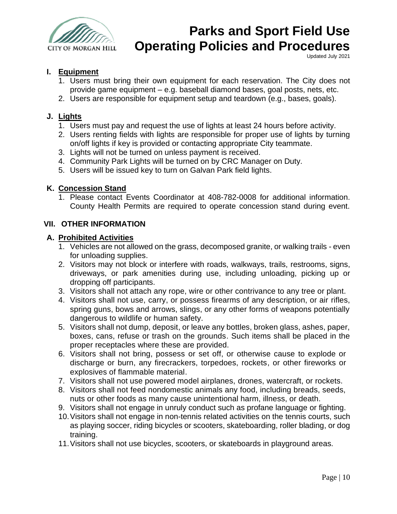

Updated July 2021

## **I. Equipment**

- 1. Users must bring their own equipment for each reservation. The City does not provide game equipment – e.g. baseball diamond bases, goal posts, nets, etc.
- 2. Users are responsible for equipment setup and teardown (e.g., bases, goals).

## **J. Lights**

- 1. Users must pay and request the use of lights at least 24 hours before activity.
- 2. Users renting fields with lights are responsible for proper use of lights by turning on/off lights if key is provided or contacting appropriate City teammate.
- 3. Lights will not be turned on unless payment is received.
- 4. Community Park Lights will be turned on by CRC Manager on Duty.
- 5. Users will be issued key to turn on Galvan Park field lights.

### **K. Concession Stand**

1. Please contact Events Coordinator at 408-782-0008 for additional information. County Health Permits are required to operate concession stand during event.

#### **VII. OTHER INFORMATION**

#### **A. Prohibited Activities**

- 1. Vehicles are not allowed on the grass, decomposed granite, or walking trails even for unloading supplies.
- 2. Visitors may not block or interfere with roads, walkways, trails, restrooms, signs, driveways, or park amenities during use, including unloading, picking up or dropping off participants.
- 3. Visitors shall not attach any rope, wire or other contrivance to any tree or plant.
- 4. Visitors shall not use, carry, or possess firearms of any description, or air rifles, spring guns, bows and arrows, slings, or any other forms of weapons potentially dangerous to wildlife or human safety.
- 5. Visitors shall not dump, deposit, or leave any bottles, broken glass, ashes, paper, boxes, cans, refuse or trash on the grounds. Such items shall be placed in the proper receptacles where these are provided.
- 6. Visitors shall not bring, possess or set off, or otherwise cause to explode or discharge or burn, any firecrackers, torpedoes, rockets, or other fireworks or explosives of flammable material.
- 7. Visitors shall not use powered model airplanes, drones, watercraft, or rockets.
- 8. Visitors shall not feed nondomestic animals any food, including breads, seeds, nuts or other foods as many cause unintentional harm, illness, or death.
- 9. Visitors shall not engage in unruly conduct such as profane language or fighting.
- 10.Visitors shall not engage in non-tennis related activities on the tennis courts, such as playing soccer, riding bicycles or scooters, skateboarding, roller blading, or dog training.
- 11.Visitors shall not use bicycles, scooters, or skateboards in playground areas.